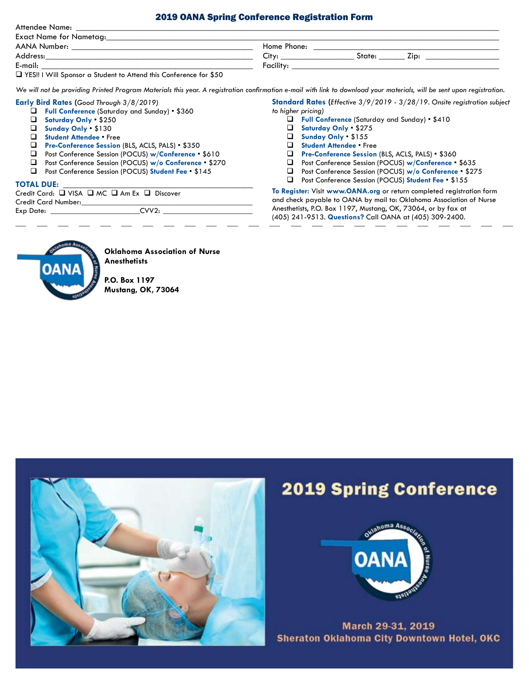# 2019 OANA Spring Conference Registration Form

| Attendee Name:                                                     |  |  |
|--------------------------------------------------------------------|--|--|
| $\blacksquare$ . The KI constant $\blacksquare$ . All constants in |  |  |

| Exact Name for Nametag:                                             |                                      |
|---------------------------------------------------------------------|--------------------------------------|
| AANA Number:                                                        | Home Phone:                          |
| Address:                                                            | $\cap$ itv $\cdot$<br>Zip:<br>State: |
| E-mail:                                                             | Facility:                            |
| T YES!! I Will Sponsor a Student to Attend this Conference for \$50 |                                      |

*We will not be providing Printed Program Materials this year. A registration confirmation e-mail with link to download your materials, will be sent upon registration.*

# **Early Bird Rates (***Good Through 3/8/2019)*

- q **Full Conference** (Saturday and Sunday) \$360
- q **Saturday Only** \$250
- **Q** Sunday Only \$130<br>**Q** Student Attendee Fr
- **Student Attendee Free**
- **Q** Pre-Conference Session (BLS, ACLS, PALS) \$350
- q Post Conference Session (POCUS) **w/Conference** \$610
- q Post Conference Session (POCUS) **w/o Conference** \$270
- q Post Conference Session (POCUS) **Student Fee** \$145

# **TOTAL DUE:** \_\_\_\_\_\_\_\_\_\_\_\_\_\_\_\_\_\_\_\_\_\_\_\_\_\_\_\_\_\_\_\_\_\_\_\_\_\_\_\_\_\_\_\_

|                     | Credit Card: $\Box$ VISA $\Box$ MC $\Box$ Am Ex $\Box$ Discover |
|---------------------|-----------------------------------------------------------------|
| Credit Card Number: |                                                                 |
| Exp Date:           | CVV2.                                                           |
|                     |                                                                 |

**Standard Rates (***Effective 3/9/2019 - 3/28/19. Onsite registration subject to higher pricing)*

- q **Full Conference** (Saturday and Sunday) \$410
- q **Saturday Only** \$275
- q **Sunday Only** \$155
- **Q** Student Attendee Free
- q **Pre-Conference Session** (BLS, ACLS, PALS) \$360
- q Post Conference Session (POCUS) **w/Conference**  \$635
- q Post Conference Session (POCUS) **w/o Conference** \$275
- □ Post Conference Session (POCUS) Student Fee \$155

**To Register:** Visit **www.OANA.org** or return completed registration form and check payable to OANA by mail to: Oklahoma Association of Nurse Anesthetists, P.O. Box 1197, Mustang, OK, 73064, or by fax at (405) 241-9513. **Questions?** Call OANA at (405) 309-2400.



# **Oklahoma Association of Nurse Anesthetists**

**P.O. Box 1197 Mustang, OK, 73064**



# **2019 Spring Conference**



March 29-31, 2019 Sheraton Oklahoma City Downtown Hotel, OKC